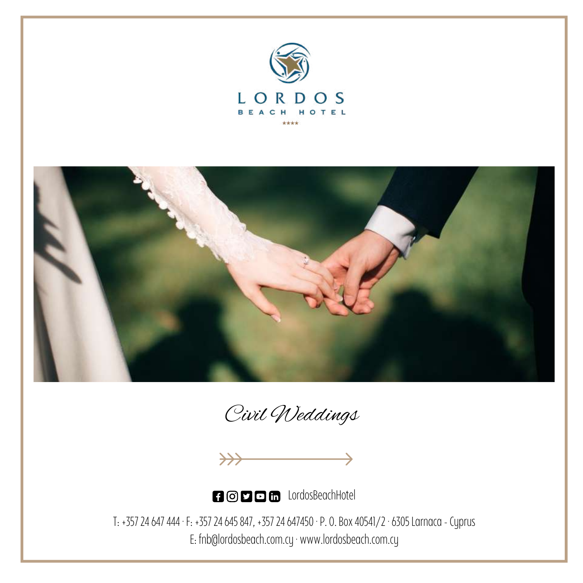



Civil Weddings



**RODOM** LordosBeachHotel

T:+35724647444∙ F:+35724645847,+35724647450∙P. O.Box40541/2∙6305Larnaca-Cyprus E: fnb@lordosbeach.com.cy∙ www.lordosbeach.com.cy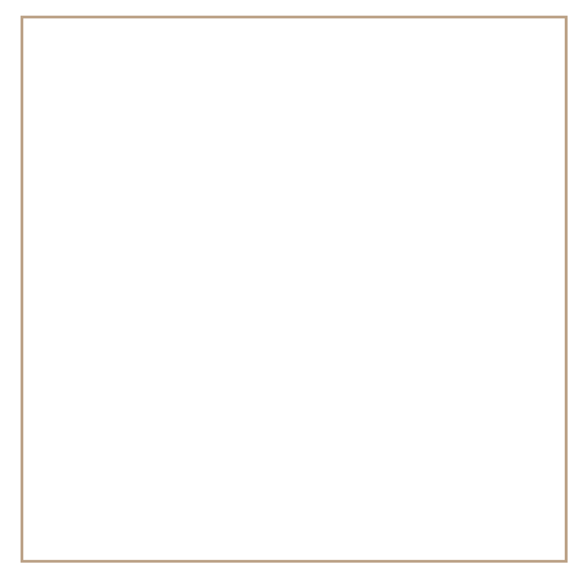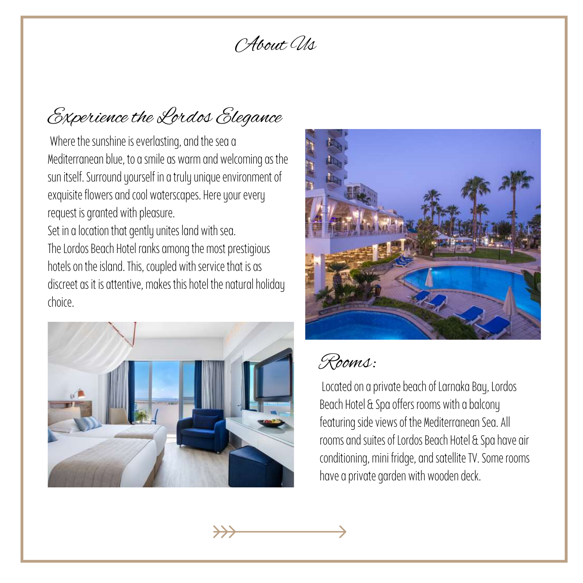#### CAbout, CMA

# Experience the Lordos Elegance

Where the sunshine is everlasting, and the sea a Mediterranean blue, to a smile as warm and welcoming as the sun itself. Surround yourself in a truly unique environment of exquisite flowers and cool waterscapes. Here your every request is granted with pleasure.

Set in a location that gently unites land with sea. The Lordos Beach Hotel ranks among the most prestigious hotels on the island. This, coupled with service that is as discreet as it is attentive, makes this hotel the natural holiday choice.





Rooms:

Located on a private beach of Larnaka Bay, Lordos Beach Hotel & Spa offers rooms with a balcony featuring side views of the Mediterranean Sea. All rooms and suites of Lordos Beach Hotel & Spa have air conditioning, mini fridge, and satellite TV. Some rooms have a private garden with wooden deck.

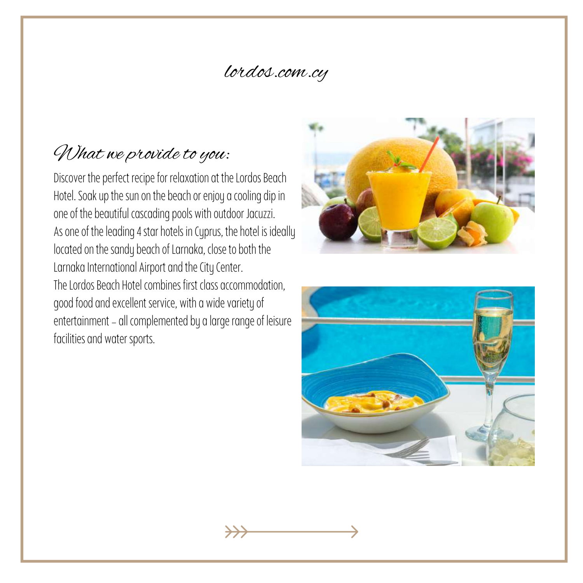#### lordos.com.cy

### What we provide to you:

Discover the perfect recipe for relaxation at the Lordos Beach Hotel. Soak up the sun on the beach or enjoy a cooling dip in one of the beautiful cascading pools with outdoor Jacuzzi. As one of the leading 4 star hotels in Cyprus, the hotel is ideally located on the sandy beach of Larnaka, close to both the Larnaka International Airport and the City Center. The Lordos Beach Hotel combines first class accommodation good food and excellent service, with a wide variety of entertainment - all complemented by a large range of leisure facilities and water sports.





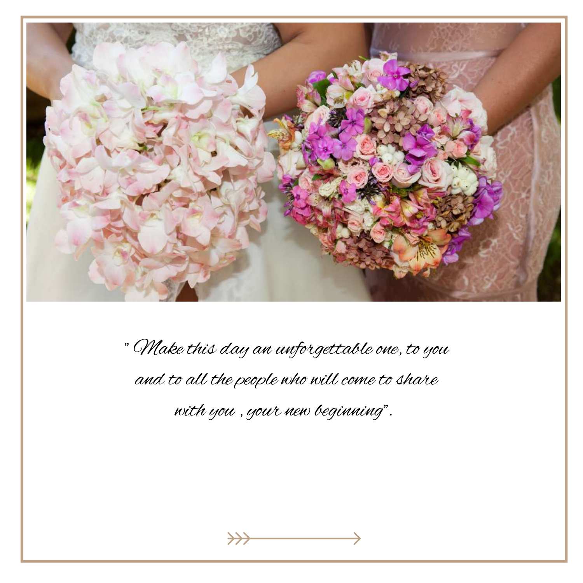

" Make this day an unforgettable one, to you and to all the people who will come to share with you , your new beginning".

 $\rightarrow$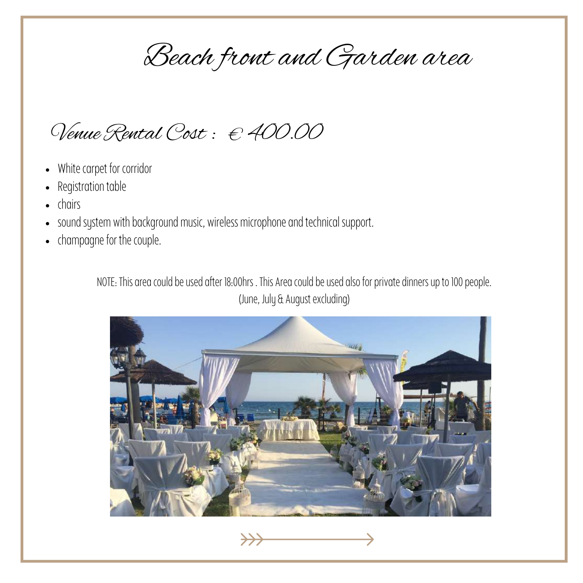Beach front and Garden area

Venue Rental Cost : € 400.00

- White carpet for corridor
- Registration table  $\bullet$
- chairs  $\bullet$
- sound system with background music, wireless microphone and technical support.
- champagne for the couple.

NOTE: This area could be used after 18:00hrs . This Area could be used also for private dinners up to 100 people. (June, July & August excluding)



 $\rightarrow$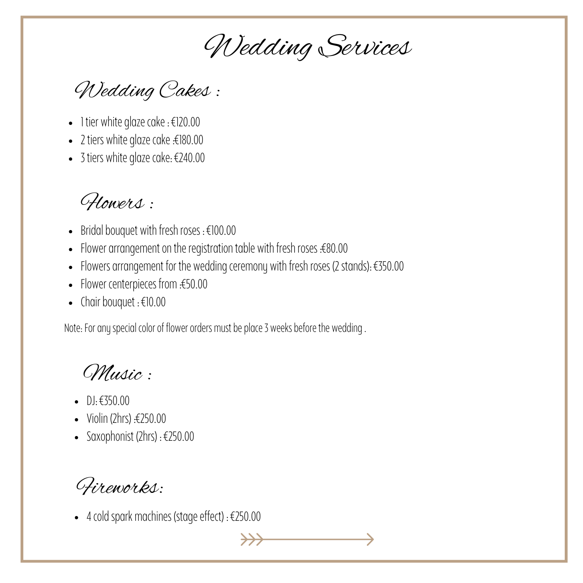Wedding Services

Wedding Cakes :

- 1 tier white glaze cake : €120.00
- 2 tiers white glaze cake .€180.00
- 3 tiers white glaze cake: €240.00

Flowers :

- Bridal bouquet with fresh roses : €100.00
- Flower arrangement on the registration table with fresh roses :€80.00
- Flowers arrangement for the wedding ceremony with fresh roses (2 stands): €350.00

 $\leftrightarrow$ 

- Flower centerpieces from :€50.00
- Chair bouquet : €10.00

Note: For any special color of flower orders must be place 3 weeks before the wedding.

Music :

- $-DL$   $\neq$  350.00
- $\bullet\quad$  Violin (2hrs)  $:£250.00$
- Saxophonist (2hrs) : €250.00

Fireworks:

• 4 cold spark machines (stage effect) : €250.00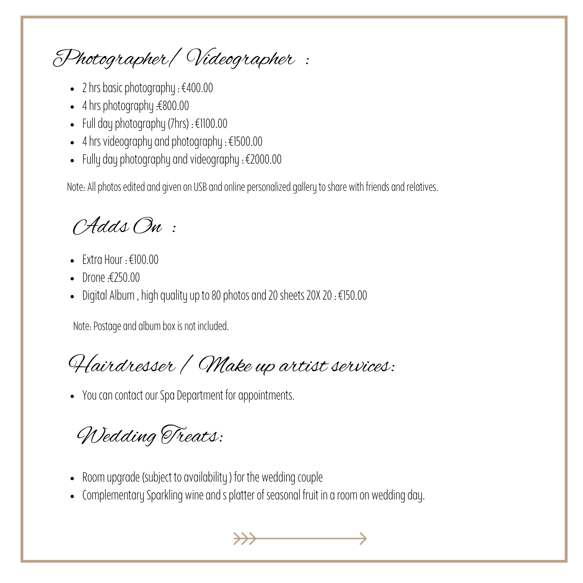Photographer/ Videographer :

- 2 hrs basic photography: €400.00
- 4 hrs photography .€800.00
- Full day photography (7hrs) : €1100.00
- 4 hrs videography and photography : €1500.00
- Fully day photography and videography: €2000.00

Note: All photos edited and given on USB and online personalized gallery to share with friends and relatives.

Adds On :

- $\bullet$  Fxtra Hour  $\cdot$   $\neq$ 100.00
- Drone: €250.00
- Digital Album, high quality up to 80 photos and 20 sheets 20X 20: €150.00

Note: Postage and album box is not included.

Hairdresser / Make up artist services:

• You can contact our Spa Department for appointments.

Wedding Treats:

- Room upgrade (subject to availability) for the wedding couple
- Complementary Sparkling wine and s platter of seasonal fruit in a room on wedding day.

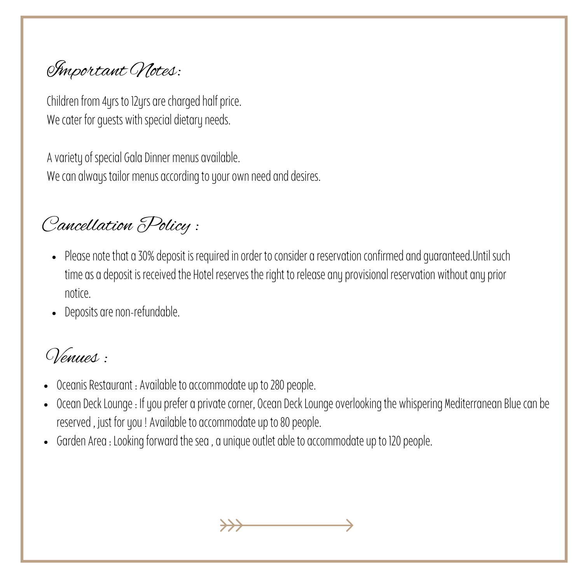Important Notes:

Children from 4yrs to 12yrs are charged half price. We cater for quests with special dietary needs.

A variety of special Gala Dinner menus available. We can always tailor menus according to your own need and desires.

## Cancellation Policy :

- Please note that a 30% deposit is required in order to consider a reservation confirmed and quaranteed.Until such time as a deposit is received the Hotel reserves the right to release any provisional reservation without any prior notice.
- Deposits are non-refundable.

# Venues :

- Oceanis Restaurant : Available to accommodate up to 280 people.
- Ocean Deck Lounge: If you prefer a private corner, Ocean Deck Lounge overlooking the whispering Mediterranean Blue can be reserved, just for you! Available to accommodate up to 80 people.
- Garden Area: Looking forward the sea, a unique outlet able to accommodate up to 120 people.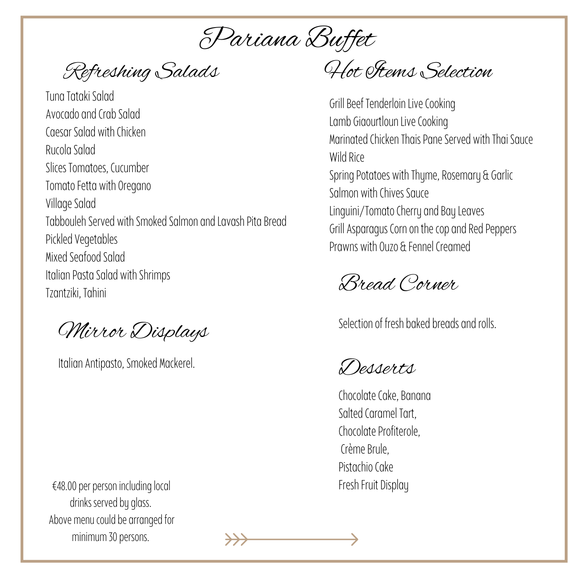

Refreshing Salads

TunaTatakiSalad AvocadoandCrabSalad Caesar Salad with Chicken RucolaSalad Slices Tomatoes, Cucumber Tomato Fetta with Oregano Village Salad Tabbouleh Served with Smoked Salmon and Lavash Pita Bread Pickled Vegetables Mixed Seafood Salad Italian Pasta Salad with Shrimps Tzantziki, Tahini

Mirror Displays

Italian Antipasto, Smoked Mackerel.

€48.00perpersonincludinglocal FreshFruit Display drinks served by glass. Above menu could be arranged for minimum 30 persons.

Ant Stems Selection

Grill Beef Tenderloin Live Cooking Lamb Giaourtloun Live Cooking Marinated Chicken Thais Pane Served with Thai Sauce Wild Rice Spring Potatoes with Thyme, Rosemary & Garlic Salmon with Chives Sauce Linguini/Tomato Cherry and Bay Leaves Grill Asparagus Corn on the cop and Red Peppers Prawns with Ouzo & Fennel Creamed

Bread Corner

Selection of fresh baked breads and rolls.

Desserts

Chocolate Cake, Banana Salted Caramel Tart, Chocolate Profiterole. Crème Brule. Pistachio Cake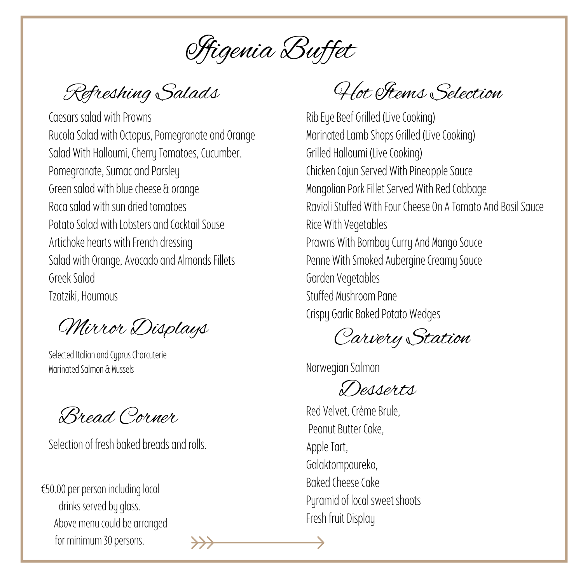Ofigenia Buffet

Refreshing Salads

Caesars salad with Prawns Rucola Salad with Octopus, Pomegranate and Orange Salad With Halloumi, Cherry Tomatoes, Cucumber. Pomegranate, Sumac and Parsley Green salad with blue cheese & orange Roca salad with sun dried tomatoes Potato Salad with Lobsters and Cocktail Souse Artichoke hearts with French dressing Salad with Orange, Avocado and Almonds Fillets GreekSalad Tzatziki, Houmous

Mirror Displays

Selected Italian and Cuprus Charcuterie Marinated Salmon & Mussels

Bread Corner

Selection of fresh baked breads and rolls.

€50.00 per person including local drinks served by glass. Above menu could be arranged for minimum 30 persons.

Alot Stems Selection

Rib Eye Beef Grilled (Live Cooking) Marinated Lamb Shops Grilled (Live Cooking) Grilled Halloumi (Live Cooking) Chicken Cajun Served With Pineapple Sauce Mongolian Pork Fillet Served With Red Cabbage RavioliStuffed WithFourCheese On A Tomato AndBasilSauce Rice With Vegetables Prawns With Bombay Curry And Mango Sauce Penne With Smoked Aubergine Creamy Sauce Garden Vegetables Stuffed Mushroom Pane Crispy Garlic Baked Potato Wedges

Carvery Station

Norwegian Salmon

Desserts

Red Velvet, Crème Brule, Peanut Butter Cake Apple Tart, Galaktompoureko, Baked Cheese Cake Pyramid of local sweet shoots Fresh fruit Display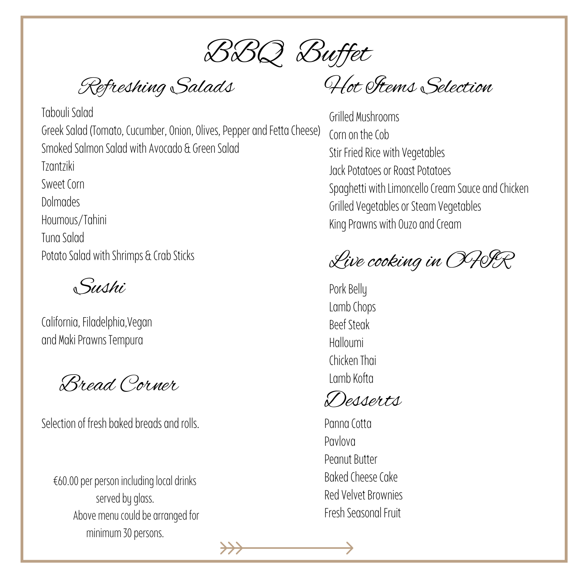BBQ Buffet

Refreshing Salads

Tabouli Salad Greek Salad (Tomato, Cucumber, Onion, Olives, Pepper and Fetta Cheese) Smoked Salmon Salad with Avocado & Green Salad Tzantziki Sweet Corn Dolmades Houmous/Tahini TunaSalad Potato Salad with Shrimps & Crab Sticks

Sushi

California, Filadelphia,Vegan and Maki Prawns Tempura

Bread Corner

Selection of fresh baked breads and rolls.

€60.00 per person including local drinks served by glass. Above menu could be arranged for minimum 30 persons.

Offems Selection

Grilled Mushrooms Corn on the Cob Stir Fried Rice with Vegetables Jack Potatoes or Roast Potatoes Spaghetti with Limoncello Cream Sauce and Chicken Grilled Vegetables or Steam Vegetables King Prawns with Ouzo and Cream

Live cooking in OFIR

Pork Belly Lamb Chops BeefSteak Halloumi ChickenThai LambKofta

Desserts

Panna Cotta Pavlova Peanut Butter Baked Cheese Cake Red Velvet Brownies Fresh Seasonal Fruit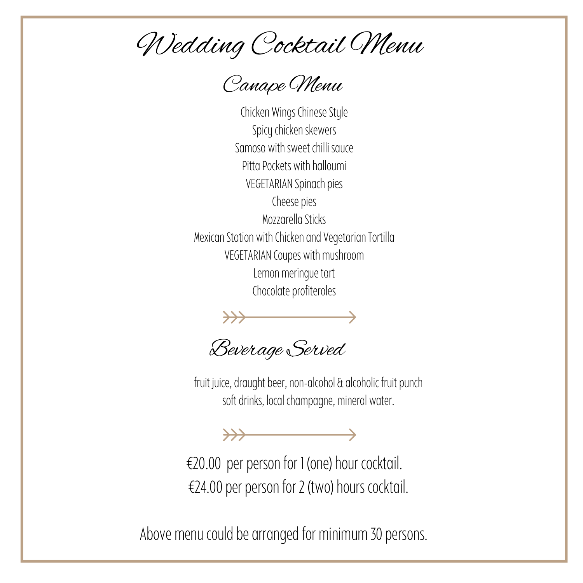Wedding Cocktail Menu



Chicken Wings Chinese Style Spicy chicken skewers Samosa with sweet chilli sauce Pitta Pockets with halloumi VEGETARIAN Spinach pies Cheese pies Mozzarella Sticks Mexican Station with Chicken and Vegetarian Tortilla VEGETARIAN Coupes with mushroom Lemon meringue tart Chocolate profiteroles

Beverage Served

fruit juice, draught beer, non-alcohol & alcoholic fruit punch soft drinks, local champagne, mineral water.



€20.00 per person for 1 (one) hour cocktail. €24.00 per person for 2 (two) hours cocktail.

Above menu could be arranged for minimum 30 persons.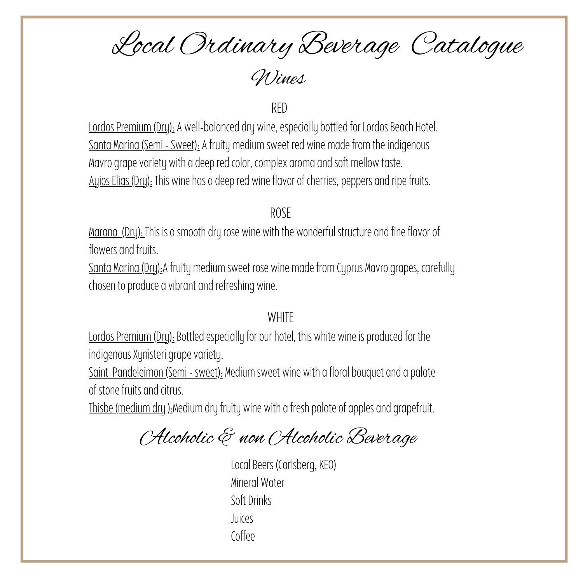Local Ordinary Beverage Catalogue

Wines

RED

Lordos Premium (Dry): A well-balanced dry wine, especially bottled for Lordos Beach Hotel. Santa Marina (Semi - Sweet): A fruity medium sweet red wine made from the indigenous Mavro grape variety with a deep red color, complex aroma and soft mellow taste. Aujos Elias (Dry): This wine has a deep red wine flavor of cherries, peppers and ripe fruits.

ROSE

Marana (Dry). This is a smooth dry rose wine with the wonderful structure and fine flavor of flowers and fruits.

Santa Marina (Dry): A fruity medium sweet rose wine made from Cyprus Mavro grapes, carefully chosen to produce a vibrant and refreshing wine.

#### **WHITE**

Lordos Premium (Dry): Bottled especially for our hotel, this white wine is produced for the indigenous Xynisteri grape variety.

Saint Pandeleimon (Semi - sweet): Medium sweet wine with a floral bouquet and a palate of stone fruits and citrus.

Thisbe (medium dry): Medium dry fruity wine with a fresh palate of apples and grapefruit.

Alcoholic & non Alcoholic Beverage

Local Beers (Carlsberg, KEO) Mineral Water Soft Drinks Juices Coffee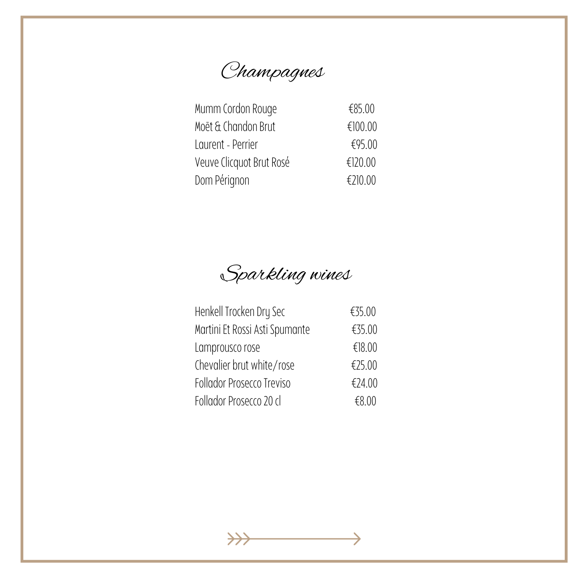

| €85.00     |
|------------|
| € $100.00$ |
| €95.00     |
| €120.00    |
| €210.00    |
|            |

Sparkling wines

| Henkell Trocken Dry Sec          | €35.00    |
|----------------------------------|-----------|
| Martini Et Rossi Asti Spumante   | €35.00    |
| Lamprousco rose                  | € $18.00$ |
| Chevalier brut white/rose        | €25.00    |
| <b>Follador Prosecco Treviso</b> | €24.00    |
| Follador Prosecco 20 cl          | € $8.00$  |

 $\left. \begin{array}{c} \displaystyle \big\downarrow \big\downarrow \big\downarrow \end{array} \right.$  $\rightarrow$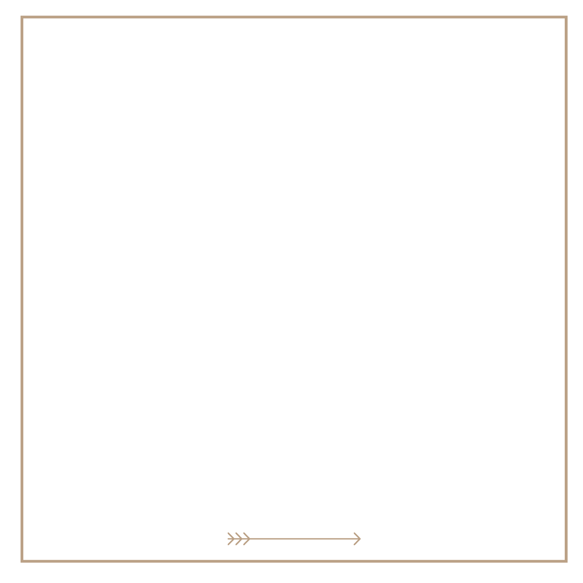$\left. \begin{array}{c} \displaystyle \text{ }\\ \displaystyle \text{ }\\ \displaystyle \text{ }\\ \displaystyle \text{ }\\ \end{array} \right\}$  $\rightarrow$